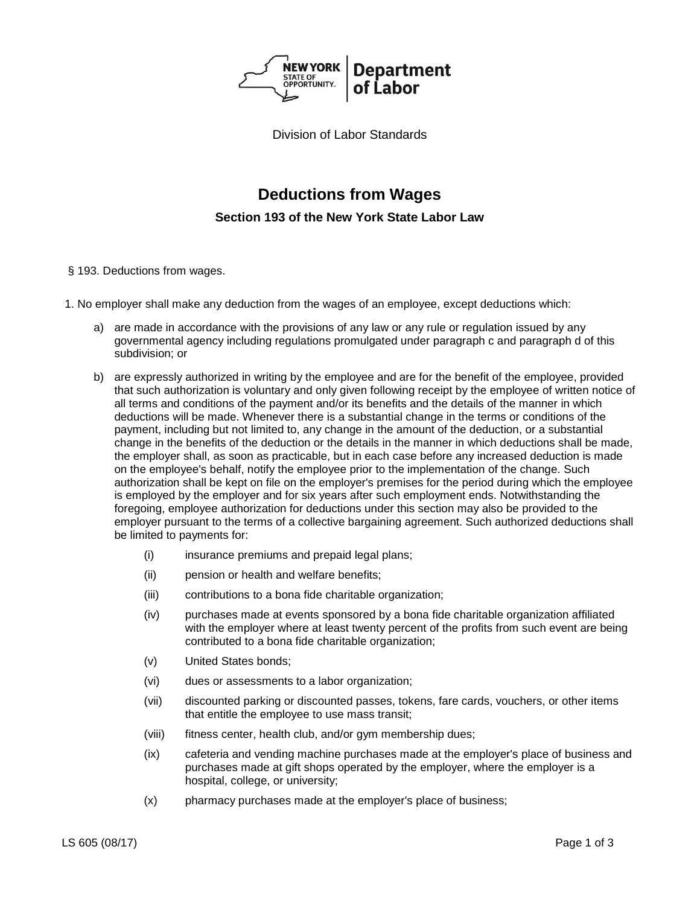

Division of Labor Standards

# **Deductions from Wages**

**Section 193 of the New York State Labor Law**

- § 193. Deductions from wages.
- 1. No employer shall make any deduction from the wages of an employee, except deductions which:
	- a) are made in accordance with the provisions of any law or any rule or regulation issued by any governmental agency including regulations promulgated under paragraph c and paragraph d of this subdivision; or
	- b) are expressly authorized in writing by the employee and are for the benefit of the employee, provided that such authorization is voluntary and only given following receipt by the employee of written notice of all terms and conditions of the payment and/or its benefits and the details of the manner in which deductions will be made. Whenever there is a substantial change in the terms or conditions of the payment, including but not limited to, any change in the amount of the deduction, or a substantial change in the benefits of the deduction or the details in the manner in which deductions shall be made, the employer shall, as soon as practicable, but in each case before any increased deduction is made on the employee's behalf, notify the employee prior to the implementation of the change. Such authorization shall be kept on file on the employer's premises for the period during which the employee is employed by the employer and for six years after such employment ends. Notwithstanding the foregoing, employee authorization for deductions under this section may also be provided to the employer pursuant to the terms of a collective bargaining agreement. Such authorized deductions shall be limited to payments for:
		- (i) insurance premiums and prepaid legal plans;
		- (ii) pension or health and welfare benefits;
		- (iii) contributions to a bona fide charitable organization;
		- (iv) purchases made at events sponsored by a bona fide charitable organization affiliated with the employer where at least twenty percent of the profits from such event are being contributed to a bona fide charitable organization;
		- (v) United States bonds;
		- (vi) dues or assessments to a labor organization;
		- (vii) discounted parking or discounted passes, tokens, fare cards, vouchers, or other items that entitle the employee to use mass transit;
		- (viii) fitness center, health club, and/or gym membership dues;
		- (ix) cafeteria and vending machine purchases made at the employer's place of business and purchases made at gift shops operated by the employer, where the employer is a hospital, college, or university;
		- (x) pharmacy purchases made at the employer's place of business;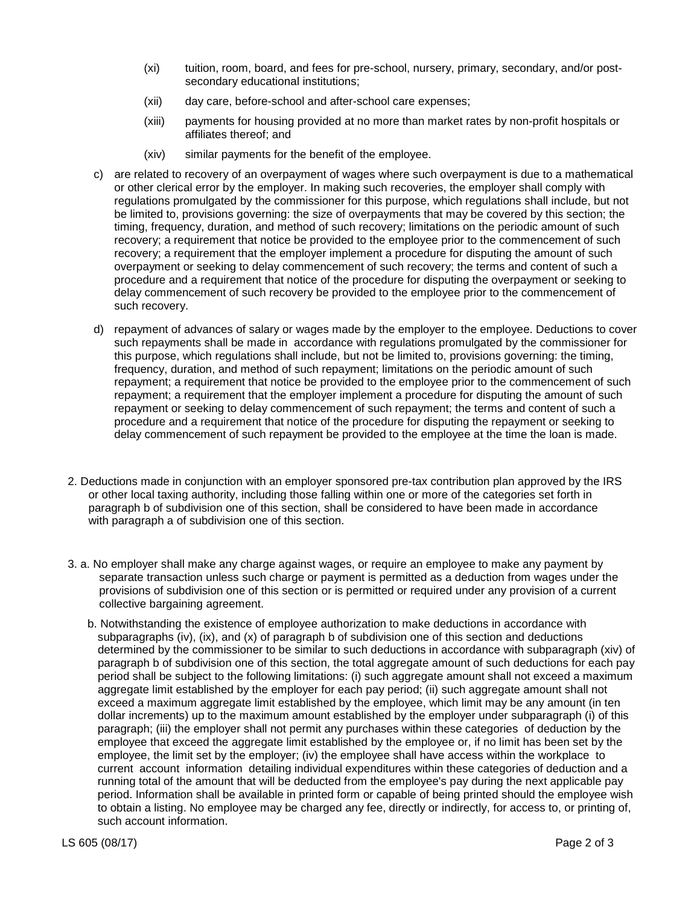- (xi) tuition, room, board, and fees for pre-school, nursery, primary, secondary, and/or postsecondary educational institutions;
- (xii) day care, before-school and after-school care expenses;
- (xiii) payments for housing provided at no more than market rates by non-profit hospitals or affiliates thereof; and
- (xiv) similar payments for the benefit of the employee.
- c) are related to recovery of an overpayment of wages where such overpayment is due to a mathematical or other clerical error by the employer. In making such recoveries, the employer shall comply with regulations promulgated by the commissioner for this purpose, which regulations shall include, but not be limited to, provisions governing: the size of overpayments that may be covered by this section; the timing, frequency, duration, and method of such recovery; limitations on the periodic amount of such recovery; a requirement that notice be provided to the employee prior to the commencement of such recovery; a requirement that the employer implement a procedure for disputing the amount of such overpayment or seeking to delay commencement of such recovery; the terms and content of such a procedure and a requirement that notice of the procedure for disputing the overpayment or seeking to delay commencement of such recovery be provided to the employee prior to the commencement of such recovery.
- d) repayment of advances of salary or wages made by the employer to the employee. Deductions to cover such repayments shall be made in accordance with regulations promulgated by the commissioner for this purpose, which regulations shall include, but not be limited to, provisions governing: the timing, frequency, duration, and method of such repayment; limitations on the periodic amount of such repayment; a requirement that notice be provided to the employee prior to the commencement of such repayment; a requirement that the employer implement a procedure for disputing the amount of such repayment or seeking to delay commencement of such repayment; the terms and content of such a procedure and a requirement that notice of the procedure for disputing the repayment or seeking to delay commencement of such repayment be provided to the employee at the time the loan is made.
- 2. Deductions made in conjunction with an employer sponsored pre-tax contribution plan approved by the IRS or other local taxing authority, including those falling within one or more of the categories set forth in paragraph b of subdivision one of this section, shall be considered to have been made in accordance with paragraph a of subdivision one of this section.
- 3. a. No employer shall make any charge against wages, or require an employee to make any payment by separate transaction unless such charge or payment is permitted as a deduction from wages under the provisions of subdivision one of this section or is permitted or required under any provision of a current collective bargaining agreement.
	- b. Notwithstanding the existence of employee authorization to make deductions in accordance with subparagraphs (iv), (ix), and (x) of paragraph b of subdivision one of this section and deductions determined by the commissioner to be similar to such deductions in accordance with subparagraph (xiv) of paragraph b of subdivision one of this section, the total aggregate amount of such deductions for each pay period shall be subject to the following limitations: (i) such aggregate amount shall not exceed a maximum aggregate limit established by the employer for each pay period; (ii) such aggregate amount shall not exceed a maximum aggregate limit established by the employee, which limit may be any amount (in ten dollar increments) up to the maximum amount established by the employer under subparagraph (i) of this paragraph; (iii) the employer shall not permit any purchases within these categories of deduction by the employee that exceed the aggregate limit established by the employee or, if no limit has been set by the employee, the limit set by the employer; (iv) the employee shall have access within the workplace to current account information detailing individual expenditures within these categories of deduction and a running total of the amount that will be deducted from the employee's pay during the next applicable pay period. Information shall be available in printed form or capable of being printed should the employee wish to obtain a listing. No employee may be charged any fee, directly or indirectly, for access to, or printing of, such account information.